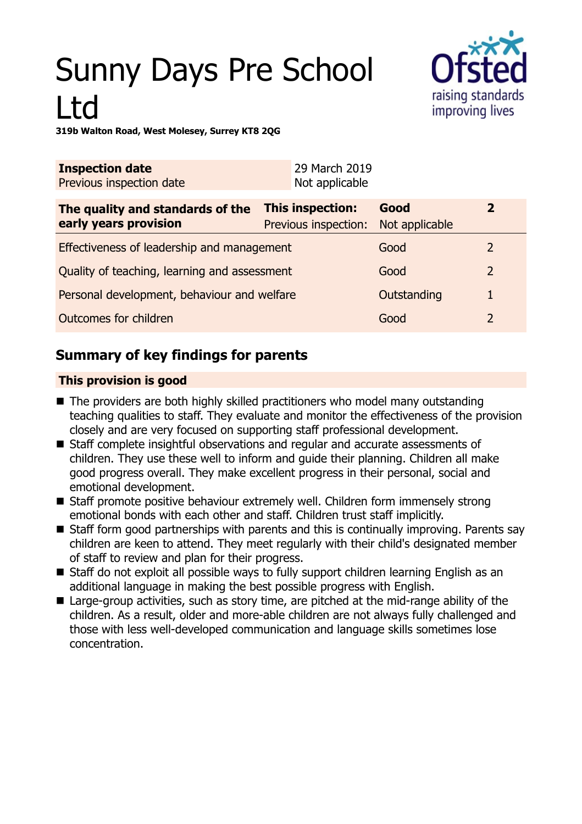# Sunny Days Pre School Ltd



**319b Walton Road, West Molesey, Surrey KT8 2QG**

| <b>Inspection date</b><br>Previous inspection date        | 29 March 2019<br>Not applicable          |                        |                |
|-----------------------------------------------------------|------------------------------------------|------------------------|----------------|
| The quality and standards of the<br>early years provision | This inspection:<br>Previous inspection: | Good<br>Not applicable | $\overline{2}$ |
| Effectiveness of leadership and management                |                                          | Good                   | $\mathcal{L}$  |
| Quality of teaching, learning and assessment              |                                          | Good                   | 2              |
| Personal development, behaviour and welfare               |                                          | Outstanding            |                |
| Outcomes for children                                     |                                          | Good                   | 2              |

## **Summary of key findings for parents**

## **This provision is good**

- $\blacksquare$  The providers are both highly skilled practitioners who model many outstanding teaching qualities to staff. They evaluate and monitor the effectiveness of the provision closely and are very focused on supporting staff professional development.
- Staff complete insightful observations and regular and accurate assessments of children. They use these well to inform and guide their planning. Children all make good progress overall. They make excellent progress in their personal, social and emotional development.
- Staff promote positive behaviour extremely well. Children form immensely strong emotional bonds with each other and staff. Children trust staff implicitly.
- $\blacksquare$  Staff form good partnerships with parents and this is continually improving. Parents say children are keen to attend. They meet regularly with their child's designated member of staff to review and plan for their progress.
- Staff do not exploit all possible ways to fully support children learning English as an additional language in making the best possible progress with English.
- $\blacksquare$  Large-group activities, such as story time, are pitched at the mid-range ability of the children. As a result, older and more-able children are not always fully challenged and those with less well-developed communication and language skills sometimes lose concentration.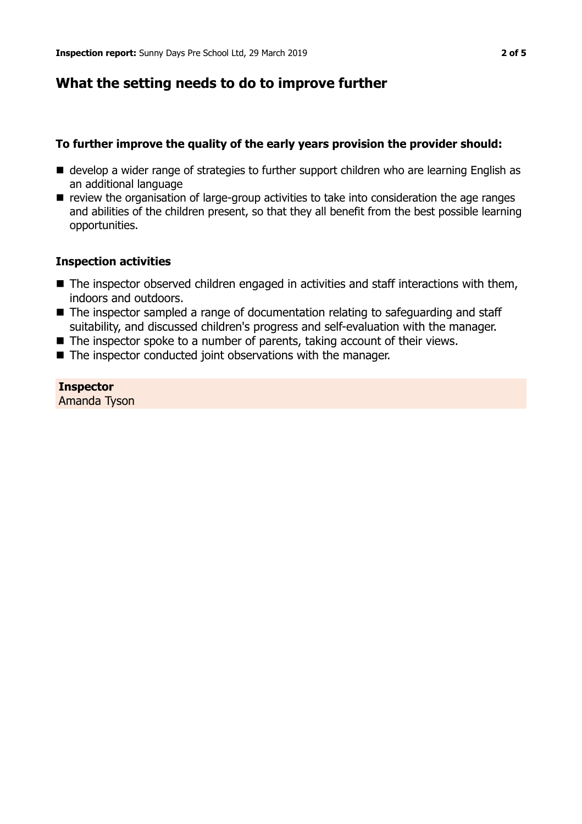## **What the setting needs to do to improve further**

## **To further improve the quality of the early years provision the provider should:**

- develop a wider range of strategies to further support children who are learning English as an additional language
- $\blacksquare$  review the organisation of large-group activities to take into consideration the age ranges and abilities of the children present, so that they all benefit from the best possible learning opportunities.

#### **Inspection activities**

- $\blacksquare$  The inspector observed children engaged in activities and staff interactions with them, indoors and outdoors.
- $\blacksquare$  The inspector sampled a range of documentation relating to safeguarding and staff suitability, and discussed children's progress and self-evaluation with the manager.
- $\blacksquare$  The inspector spoke to a number of parents, taking account of their views.
- $\blacksquare$  The inspector conducted joint observations with the manager.

## **Inspector**

Amanda Tyson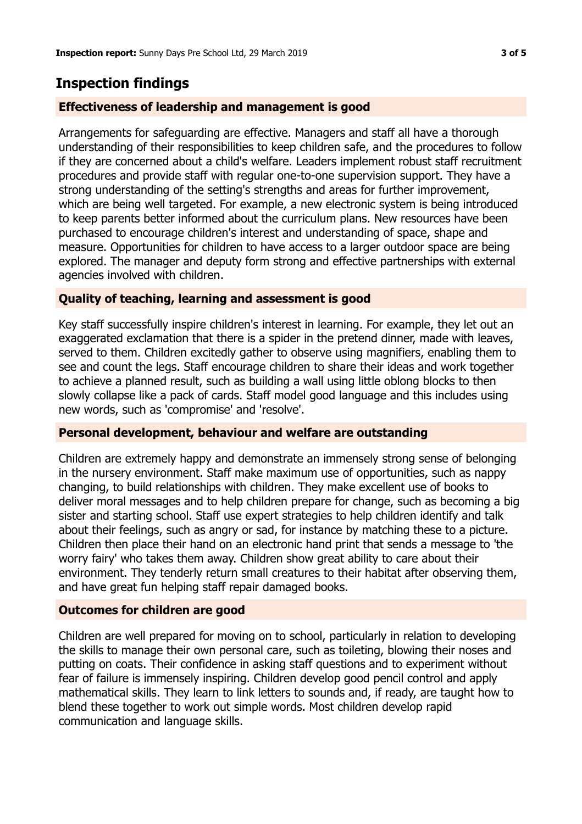## **Inspection findings**

## **Effectiveness of leadership and management is good**

Arrangements for safeguarding are effective. Managers and staff all have a thorough understanding of their responsibilities to keep children safe, and the procedures to follow if they are concerned about a child's welfare. Leaders implement robust staff recruitment procedures and provide staff with regular one-to-one supervision support. They have a strong understanding of the setting's strengths and areas for further improvement, which are being well targeted. For example, a new electronic system is being introduced to keep parents better informed about the curriculum plans. New resources have been purchased to encourage children's interest and understanding of space, shape and measure. Opportunities for children to have access to a larger outdoor space are being explored. The manager and deputy form strong and effective partnerships with external agencies involved with children.

## **Quality of teaching, learning and assessment is good**

Key staff successfully inspire children's interest in learning. For example, they let out an exaggerated exclamation that there is a spider in the pretend dinner, made with leaves, served to them. Children excitedly gather to observe using magnifiers, enabling them to see and count the legs. Staff encourage children to share their ideas and work together to achieve a planned result, such as building a wall using little oblong blocks to then slowly collapse like a pack of cards. Staff model good language and this includes using new words, such as 'compromise' and 'resolve'.

## **Personal development, behaviour and welfare are outstanding**

Children are extremely happy and demonstrate an immensely strong sense of belonging in the nursery environment. Staff make maximum use of opportunities, such as nappy changing, to build relationships with children. They make excellent use of books to deliver moral messages and to help children prepare for change, such as becoming a big sister and starting school. Staff use expert strategies to help children identify and talk about their feelings, such as angry or sad, for instance by matching these to a picture. Children then place their hand on an electronic hand print that sends a message to 'the worry fairy' who takes them away. Children show great ability to care about their environment. They tenderly return small creatures to their habitat after observing them, and have great fun helping staff repair damaged books.

## **Outcomes for children are good**

Children are well prepared for moving on to school, particularly in relation to developing the skills to manage their own personal care, such as toileting, blowing their noses and putting on coats. Their confidence in asking staff questions and to experiment without fear of failure is immensely inspiring. Children develop good pencil control and apply mathematical skills. They learn to link letters to sounds and, if ready, are taught how to blend these together to work out simple words. Most children develop rapid communication and language skills.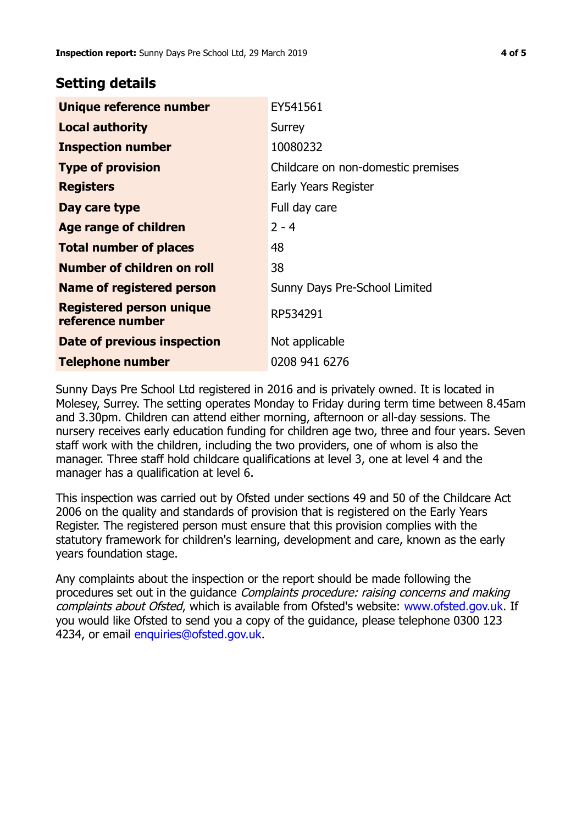## **Setting details**

| Unique reference number                             | EY541561                           |
|-----------------------------------------------------|------------------------------------|
| <b>Local authority</b>                              | Surrey                             |
| <b>Inspection number</b>                            | 10080232                           |
| <b>Type of provision</b>                            | Childcare on non-domestic premises |
| <b>Registers</b>                                    | Early Years Register               |
| Day care type                                       | Full day care                      |
| <b>Age range of children</b>                        | $2 - 4$                            |
| <b>Total number of places</b>                       | 48                                 |
| Number of children on roll                          | 38                                 |
| <b>Name of registered person</b>                    | Sunny Days Pre-School Limited      |
| <b>Registered person unique</b><br>reference number | RP534291                           |
| <b>Date of previous inspection</b>                  | Not applicable                     |
| <b>Telephone number</b>                             | 0208 941 6276                      |

Sunny Days Pre School Ltd registered in 2016 and is privately owned. It is located in Molesey, Surrey. The setting operates Monday to Friday during term time between 8.45am and 3.30pm. Children can attend either morning, afternoon or all-day sessions. The nursery receives early education funding for children age two, three and four years. Seven staff work with the children, including the two providers, one of whom is also the manager. Three staff hold childcare qualifications at level 3, one at level 4 and the manager has a qualification at level 6.

This inspection was carried out by Ofsted under sections 49 and 50 of the Childcare Act 2006 on the quality and standards of provision that is registered on the Early Years Register. The registered person must ensure that this provision complies with the statutory framework for children's learning, development and care, known as the early years foundation stage.

Any complaints about the inspection or the report should be made following the procedures set out in the guidance Complaints procedure: raising concerns and making complaints about Ofsted, which is available from Ofsted's website: www.ofsted.gov.uk. If you would like Ofsted to send you a copy of the guidance, please telephone 0300 123 4234, or email [enquiries@ofsted.gov.uk.](mailto:enquiries@ofsted.gov.uk)